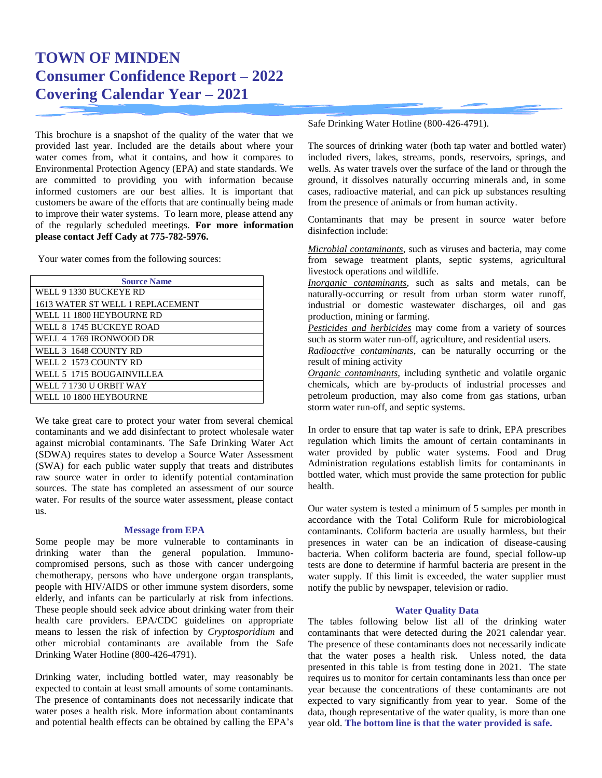# **TOWN OF MINDEN Consumer Confidence Report – 2022 Covering Calendar Year – 2021**

This brochure is a snapshot of the quality of the water that we provided last year. Included are the details about where your water comes from, what it contains, and how it compares to Environmental Protection Agency (EPA) and state standards. We are committed to providing you with information because informed customers are our best allies. It is important that customers be aware of the efforts that are continually being made to improve their water systems. To learn more, please attend any of the regularly scheduled meetings. **For more information please contact Jeff Cady at 775-782-5976.**

Your water comes from the following sources:

| <b>Source Name</b>               |
|----------------------------------|
| WELL 9 1330 BUCKEYE RD           |
| 1613 WATER ST WELL 1 REPLACEMENT |
| WELL 11 1800 HEYBOURNE RD        |
| WELL 8–1745 BUCKEYE ROAD         |
| WELL 4 1769 IRONWOOD DR          |
| WELL 3 1648 COUNTY RD            |
| WELL 2 1573 COUNTY RD            |
| WELL 5 1715 BOUGAINVILLEA        |
| WELL 7 1730 U ORBIT WAY          |
| WELL 10 1800 HEYBOURNE           |

We take great care to protect your water from several chemical contaminants and we add disinfectant to protect wholesale water against microbial contaminants. The Safe Drinking Water Act (SDWA) requires states to develop a Source Water Assessment (SWA) for each public water supply that treats and distributes raw source water in order to identify potential contamination sources. The state has completed an assessment of our source water. For results of the source water assessment, please contact us.

#### **Message from EPA**

Some people may be more vulnerable to contaminants in drinking water than the general population. Immunocompromised persons, such as those with cancer undergoing chemotherapy, persons who have undergone organ transplants, people with HIV/AIDS or other immune system disorders, some elderly, and infants can be particularly at risk from infections. These people should seek advice about drinking water from their health care providers. EPA/CDC guidelines on appropriate means to lessen the risk of infection by *Cryptosporidium* and other microbial contaminants are available from the Safe Drinking Water Hotline (800-426-4791).

Drinking water, including bottled water, may reasonably be expected to contain at least small amounts of some contaminants. The presence of contaminants does not necessarily indicate that water poses a health risk. More information about contaminants and potential health effects can be obtained by calling the EPA's Safe Drinking Water Hotline (800-426-4791).

The sources of drinking water (both tap water and bottled water) included rivers, lakes, streams, ponds, reservoirs, springs, and wells. As water travels over the surface of the land or through the ground, it dissolves naturally occurring minerals and, in some cases, radioactive material, and can pick up substances resulting from the presence of animals or from human activity.

Contaminants that may be present in source water before disinfection include:

*Microbial contaminants*, such as viruses and bacteria, may come from sewage treatment plants, septic systems, agricultural livestock operations and wildlife.

*Inorganic contaminants*, such as salts and metals, can be naturally-occurring or result from urban storm water runoff, industrial or domestic wastewater discharges, oil and gas production, mining or farming.

*Pesticides and herbicides* may come from a variety of sources such as storm water run-off, agriculture, and residential users.

*Radioactive contaminants*, can be naturally occurring or the result of mining activity

*Organic contaminants*, including synthetic and volatile organic chemicals, which are by-products of industrial processes and petroleum production, may also come from gas stations, urban storm water run-off, and septic systems.

In order to ensure that tap water is safe to drink, EPA prescribes regulation which limits the amount of certain contaminants in water provided by public water systems. Food and Drug Administration regulations establish limits for contaminants in bottled water, which must provide the same protection for public health.

Our water system is tested a minimum of 5 samples per month in accordance with the Total Coliform Rule for microbiological contaminants. Coliform bacteria are usually harmless, but their presences in water can be an indication of disease-causing bacteria. When coliform bacteria are found, special follow-up tests are done to determine if harmful bacteria are present in the water supply. If this limit is exceeded, the water supplier must notify the public by newspaper, television or radio.

#### **Water Quality Data**

The tables following below list all of the drinking water contaminants that were detected during the 2021 calendar year. The presence of these contaminants does not necessarily indicate that the water poses a health risk. Unless noted, the data presented in this table is from testing done in 2021. The state requires us to monitor for certain contaminants less than once per year because the concentrations of these contaminants are not expected to vary significantly from year to year. Some of the data, though representative of the water quality, is more than one year old. **The bottom line is that the water provided is safe.**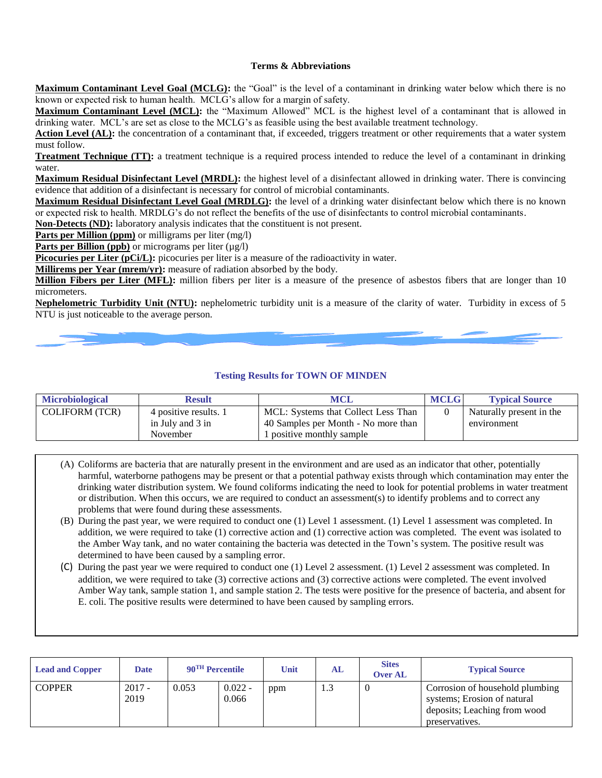#### **Terms & Abbreviations**

**Maximum Contaminant Level Goal (MCLG):** the "Goal" is the level of a contaminant in drinking water below which there is no known or expected risk to human health. MCLG's allow for a margin of safety.

**Maximum Contaminant Level (MCL):** the "Maximum Allowed" MCL is the highest level of a contaminant that is allowed in drinking water. MCL's are set as close to the MCLG's as feasible using the best available treatment technology.

Action Level (AL): the concentration of a contaminant that, if exceeded, triggers treatment or other requirements that a water system must follow.

**Treatment Technique (TT):** a treatment technique is a required process intended to reduce the level of a contaminant in drinking water.

**Maximum Residual Disinfectant Level (MRDL):** the highest level of a disinfectant allowed in drinking water. There is convincing evidence that addition of a disinfectant is necessary for control of microbial contaminants.

**Maximum Residual Disinfectant Level Goal (MRDLG):** the level of a drinking water disinfectant below which there is no known or expected risk to health. MRDLG's do not reflect the benefits of the use of disinfectants to control microbial contaminants.

**Non-Detects (ND):** laboratory analysis indicates that the constituent is not present.

**Parts per Million (ppm)** or milligrams per liter (mg/l)

**Parts per Billion (ppb)** or micrograms per liter  $(\mu g/l)$ 

**Picocuries per Liter (pCi/L):** picocuries per liter is a measure of the radioactivity in water.

**Millirems per Year (mrem/yr):** measure of radiation absorbed by the body.

**Million Fibers per Liter (MFL):** million fibers per liter is a measure of the presence of asbestos fibers that are longer than 10 micrometers.

**Nephelometric Turbidity Unit (NTU):** nephelometric turbidity unit is a measure of the clarity of water. Turbidity in excess of 5 NTU is just noticeable to the average person.

#### **Testing Results for TOWN OF MINDEN**

| <b>Microbiological</b> | Result                | <b>MCL</b>                          | <b>MCLG</b> | <b>Typical Source</b>    |
|------------------------|-----------------------|-------------------------------------|-------------|--------------------------|
| <b>COLIFORM (TCR)</b>  | 4 positive results. 1 | MCL: Systems that Collect Less Than |             | Naturally present in the |
|                        | in July and 3 in      | 40 Samples per Month - No more than |             | environment              |
|                        | November              | positive monthly sample             |             |                          |

- (A) Coliforms are bacteria that are naturally present in the environment and are used as an indicator that other, potentially harmful, waterborne pathogens may be present or that a potential pathway exists through which contamination may enter the drinking water distribution system. We found coliforms indicating the need to look for potential problems in water treatment or distribution. When this occurs, we are required to conduct an assessment(s) to identify problems and to correct any problems that were found during these assessments.
- (B) During the past year, we were required to conduct one (1) Level 1 assessment. (1) Level 1 assessment was completed. In addition, we were required to take (1) corrective action and (1) corrective action was completed. The event was isolated to the Amber Way tank, and no water containing the bacteria was detected in the Town's system. The positive result was determined to have been caused by a sampling error.
- (C) During the past year we were required to conduct one (1) Level 2 assessment. (1) Level 2 assessment was completed. In addition, we were required to take (3) corrective actions and (3) corrective actions were completed. The event involved Amber Way tank, sample station 1, and sample station 2. The tests were positive for the presence of bacteria, and absent for E. coli. The positive results were determined to have been caused by sampling errors.

| <b>Lead and Copper</b> | <b>Date</b>      | 90 <sup>TH</sup> Percentile |                    | Unit | AL     | <b>Sites</b><br><b>Over AL</b> | <b>Typical Source</b>                                                                                            |
|------------------------|------------------|-----------------------------|--------------------|------|--------|--------------------------------|------------------------------------------------------------------------------------------------------------------|
| <b>COPPER</b>          | $2017 -$<br>2019 | 0.053                       | $0.022 -$<br>0.066 | ppm  | ن د له |                                | Corrosion of household plumbing<br>systems; Erosion of natural<br>deposits; Leaching from wood<br>preservatives. |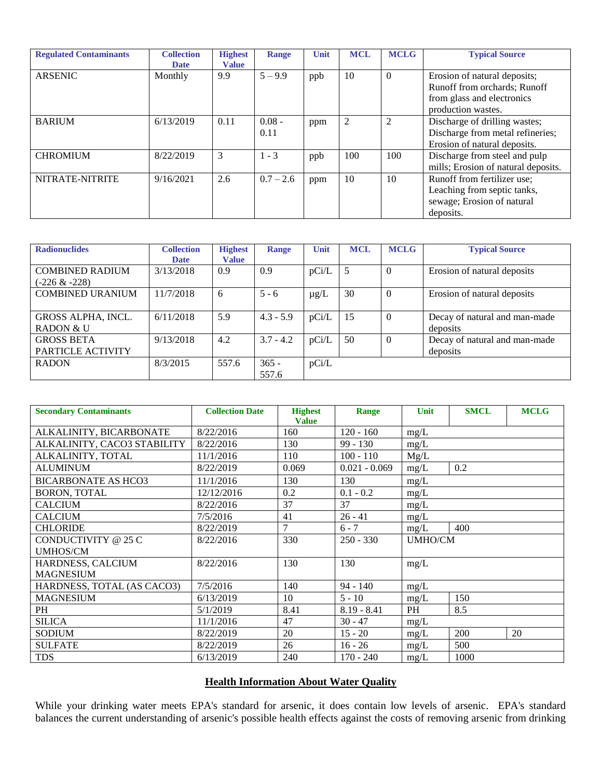| <b>Regulated Contaminants</b> | <b>Collection</b><br><b>Date</b> | <b>Highest</b><br><b>Value</b> | <b>Range</b>     | Unit | <b>MCL</b> | <b>MCLG</b>    | <b>Typical Source</b>                                                                                            |
|-------------------------------|----------------------------------|--------------------------------|------------------|------|------------|----------------|------------------------------------------------------------------------------------------------------------------|
| <b>ARSENIC</b>                | Monthly                          | 9.9                            | $5 - 9.9$        | ppb  | 10         | $\theta$       | Erosion of natural deposits;<br>Runoff from orchards; Runoff<br>from glass and electronics<br>production wastes. |
| <b>BARIUM</b>                 | 6/13/2019                        | 0.11                           | $0.08 -$<br>0.11 | ppm  | 2          | $\overline{2}$ | Discharge of drilling wastes;<br>Discharge from metal refineries;<br>Erosion of natural deposits.                |
| <b>CHROMIUM</b>               | 8/22/2019                        | 3                              | $1 - 3$          | ppb  | 100        | 100            | Discharge from steel and pulp<br>mills; Erosion of natural deposits.                                             |
| NITRATE-NITRITE               | 9/16/2021                        | 2.6                            | $0.7 - 2.6$      | ppm  | 10         | 10             | Runoff from fertilizer use;<br>Leaching from septic tanks,<br>sewage; Erosion of natural<br>deposits.            |

| <b>Radionuclides</b>    | <b>Collection</b> | <b>Highest</b> | Range       | Unit      | <b>MCL</b> | <b>MCLG</b> | <b>Typical Source</b>         |
|-------------------------|-------------------|----------------|-------------|-----------|------------|-------------|-------------------------------|
|                         | <b>Date</b>       | <b>Value</b>   |             |           |            |             |                               |
| <b>COMBINED RADIUM</b>  | 3/13/2018         | 0.9            | 0.9         | pCi/L     | 5          | $\Omega$    | Erosion of natural deposits   |
| (-226 & -228)           |                   |                |             |           |            |             |                               |
| <b>COMBINED URANIUM</b> | 11/7/2018         | 6              | $5 - 6$     | $\mu$ g/L | 30         | $\Omega$    | Erosion of natural deposits   |
|                         |                   |                |             |           |            |             |                               |
| GROSS ALPHA, INCL.      | 6/11/2018         | 5.9            | $4.3 - 5.9$ | pCi/L     | 15         | $\Omega$    | Decay of natural and man-made |
| RADON & U               |                   |                |             |           |            |             | deposits                      |
| <b>GROSS BETA</b>       | 9/13/2018         | 4.2            | $3.7 - 4.2$ | pCi/L     | 50         | $\Omega$    | Decay of natural and man-made |
| PARTICLE ACTIVITY       |                   |                |             |           |            |             | deposits                      |
| <b>RADON</b>            | 8/3/2015          | 557.6          | $365 -$     | pCi/L     |            |             |                               |
|                         |                   |                | 557.6       |           |            |             |                               |

| <b>Secondary Contaminants</b> | <b>Collection Date</b> | <b>Highest</b><br><b>Value</b> | Range           | Unit<br><b>SMCL</b> |      | <b>MCLG</b> |  |  |
|-------------------------------|------------------------|--------------------------------|-----------------|---------------------|------|-------------|--|--|
| ALKALINITY, BICARBONATE       | 8/22/2016              | 160                            | $120 - 160$     | mg/L                |      |             |  |  |
| ALKALINITY, CACO3 STABILITY   | 8/22/2016              | 130                            | $99 - 130$      | mg/L                |      |             |  |  |
| ALKALINITY, TOTAL             | 11/1/2016              | 110                            | $100 - 110$     | Mg/L                |      |             |  |  |
| <b>ALUMINUM</b>               | 8/22/2019              | 0.069                          | $0.021 - 0.069$ | 0.2<br>mg/L         |      |             |  |  |
| <b>BICARBONATE AS HCO3</b>    | 11/1/2016              | 130                            | 130             | mg/L                |      |             |  |  |
| <b>BORON, TOTAL</b>           | 12/12/2016             | 0.2                            | $0.1 - 0.2$     | mg/L                |      |             |  |  |
| <b>CALCIUM</b>                | 8/22/2016              | 37                             | 37              | mg/L                |      |             |  |  |
| <b>CALCIUM</b>                | 7/5/2016               | 41                             | $26 - 41$       | mg/L                |      |             |  |  |
| <b>CHLORIDE</b>               | 8/22/2019              | $\tau$                         | $6 - 7$         | 400<br>mg/L         |      |             |  |  |
| CONDUCTIVITY @ 25 C           | 8/22/2016              | 330                            | $250 - 330$     | <b>UMHO/CM</b>      |      |             |  |  |
| <b>UMHOS/CM</b>               |                        |                                |                 |                     |      |             |  |  |
| HARDNESS, CALCIUM             | 8/22/2016              | 130                            | 130             | mg/L                |      |             |  |  |
| <b>MAGNESIUM</b>              |                        |                                |                 |                     |      |             |  |  |
| HARDNESS, TOTAL (AS CACO3)    | 7/5/2016               | 140                            | $94 - 140$      | mg/L                |      |             |  |  |
| <b>MAGNESIUM</b>              | 6/13/2019              | 10                             | $5 - 10$        | 150<br>mg/L         |      |             |  |  |
| PH                            | 5/1/2019               | 8.41                           | $8.19 - 8.41$   | 8.5<br>PH           |      |             |  |  |
| <b>SILICA</b>                 | 11/1/2016              | 47                             | $30 - 47$       | mg/L                |      |             |  |  |
| <b>SODIUM</b>                 | 8/22/2019              | 20                             | $15 - 20$       | 200<br>mg/L         |      | 20          |  |  |
| <b>SULFATE</b>                | 8/22/2019              | 26                             | $16 - 26$       | mg/L                | 500  |             |  |  |
| <b>TDS</b>                    | 6/13/2019              | 240                            | $170 - 240$     | mg/L                | 1000 |             |  |  |

## **Health Information About Water Quality**

While your drinking water meets EPA's standard for arsenic, it does contain low levels of arsenic. EPA's standard balances the current understanding of arsenic's possible health effects against the costs of removing arsenic from drinking